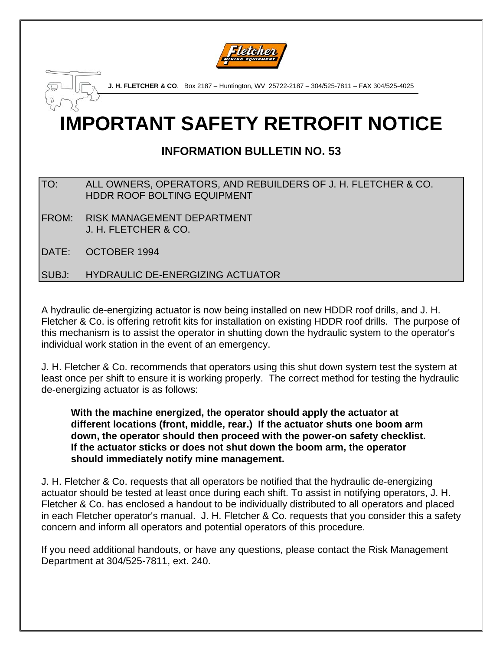

**J. H. FLETCHER & CO**. Box 2187 – Huntington, WV 25722-2187 – 304/525-7811 – FAX 304/525-4025

# **IMPORTANT SAFETY RETROFIT NOTICE**

# **INFORMATION BULLETIN NO. 53**

### TO: ALL OWNERS, OPERATORS, AND REBUILDERS OF J. H. FLETCHER & CO. HDDR ROOF BOLTING EQUIPMENT

FROM: RISK MANAGEMENT DEPARTMENT J. H. FLETCHER & CO.

DATE: OCTOBER 1994

## SUBJ: HYDRAULIC DE-ENERGIZING ACTUATOR

A hydraulic de-energizing actuator is now being installed on new HDDR roof drills, and J. H. Fletcher & Co. is offering retrofit kits for installation on existing HDDR roof drills. The purpose of this mechanism is to assist the operator in shutting down the hydraulic system to the operator's individual work station in the event of an emergency.

J. H. Fletcher & Co. recommends that operators using this shut down system test the system at least once per shift to ensure it is working properly. The correct method for testing the hydraulic de-energizing actuator is as follows:

**With the machine energized, the operator should apply the actuator at different locations (front, middle, rear.) If the actuator shuts one boom arm down, the operator should then proceed with the power-on safety checklist. If the actuator sticks or does not shut down the boom arm, the operator should immediately notify mine management.** 

J. H. Fletcher & Co. requests that all operators be notified that the hydraulic de-energizing actuator should be tested at least once during each shift. To assist in notifying operators, J. H. Fletcher & Co. has enclosed a handout to be individually distributed to all operators and placed in each Fletcher operator's manual. J. H. Fletcher & Co. requests that you consider this a safety concern and inform all operators and potential operators of this procedure.

If you need additional handouts, or have any questions, please contact the Risk Management Department at 304/525-7811, ext. 240.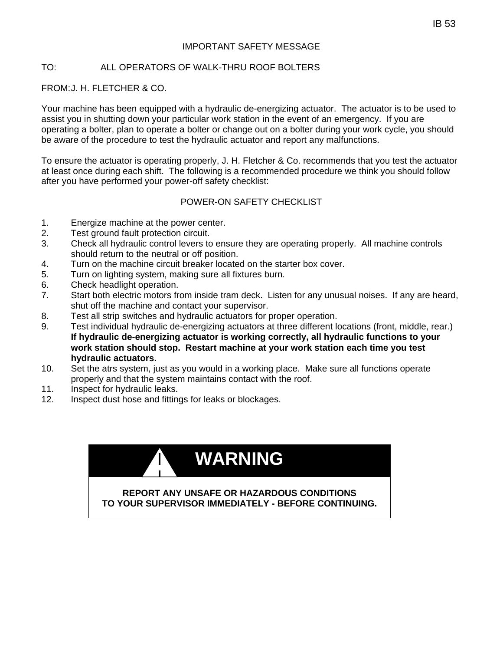#### IMPORTANT SAFETY MESSAGE

#### TO: ALL OPERATORS OF WALK-THRU ROOF BOLTERS

#### FROM: J. H. FLETCHER & CO.

Your machine has been equipped with a hydraulic de-energizing actuator. The actuator is to be used to assist you in shutting down your particular work station in the event of an emergency. If you are operating a bolter, plan to operate a bolter or change out on a bolter during your work cycle, you should be aware of the procedure to test the hydraulic actuator and report any malfunctions.

To ensure the actuator is operating properly, J. H. Fletcher & Co. recommends that you test the actuator at least once during each shift. The following is a recommended procedure we think you should follow after you have performed your power-off safety checklist:

#### POWER-ON SAFETY CHECKLIST

- 1. Energize machine at the power center.
- 2. Test ground fault protection circuit.
- 3. Check all hydraulic control levers to ensure they are operating properly. All machine controls should return to the neutral or off position.
- 4. Turn on the machine circuit breaker located on the starter box cover.
- 5. Turn on lighting system, making sure all fixtures burn.
- 6. Check headlight operation.
- 7. Start both electric motors from inside tram deck. Listen for any unusual noises. If any are heard, shut off the machine and contact your supervisor.
- 8. Test all strip switches and hydraulic actuators for proper operation.
- 9. Test individual hydraulic de-energizing actuators at three different locations (front, middle, rear.) **If hydraulic de-energizing actuator is working correctly, all hydraulic functions to your work station should stop. Restart machine at your work station each time you test hydraulic actuators.**
- 10. Set the atrs system, just as you would in a working place. Make sure all functions operate properly and that the system maintains contact with the roof.
- 11. Inspect for hydraulic leaks.
- 12. Inspect dust hose and fittings for leaks or blockages.

|                                                                                                         | <b>WARNING</b> |
|---------------------------------------------------------------------------------------------------------|----------------|
| <b>REPORT ANY UNSAFE OR HAZARDOUS CONDITIONS</b><br>TO YOUR SUPERVISOR IMMEDIATELY - BEFORE CONTINUING. |                |